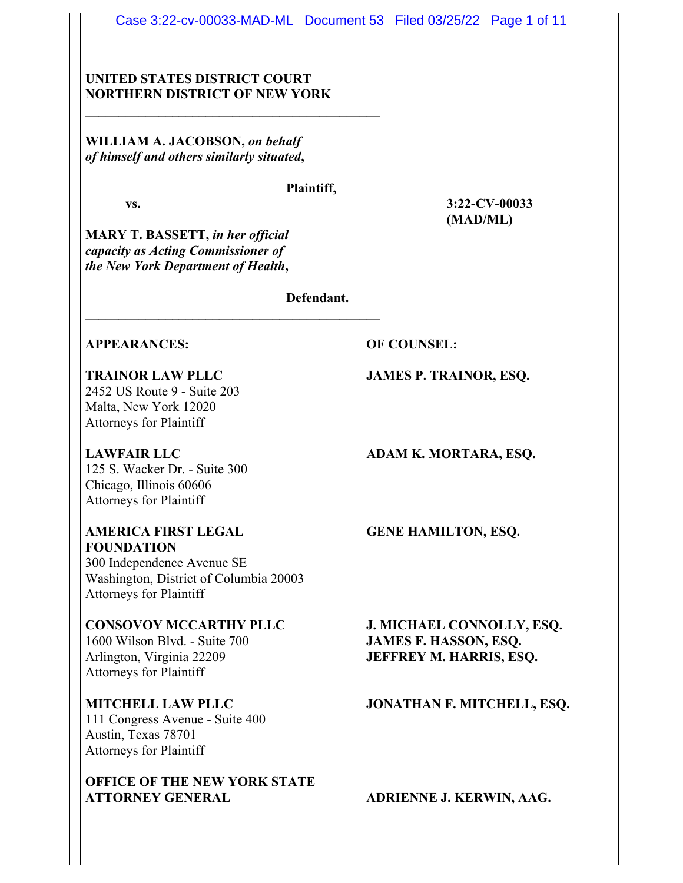Case 3:22-cv-00033-MAD-ML Document 53 Filed 03/25/22 Page 1 of 11

# **UNITED STATES DISTRICT COURT NORTHERN DISTRICT OF NEW YORK**

**\_\_\_\_\_\_\_\_\_\_\_\_\_\_\_\_\_\_\_\_\_\_\_\_\_\_\_\_\_\_\_\_\_\_\_\_\_\_\_\_\_\_\_\_**

**\_\_\_\_\_\_\_\_\_\_\_\_\_\_\_\_\_\_\_\_\_\_\_\_\_\_\_\_\_\_\_\_\_\_\_\_\_\_\_\_\_\_\_\_**

**WILLIAM A. JACOBSON,** *on behalf of himself and others similarly situated***,**

#### **Plaintiff,**

**vs. 3:22-CV-00033**

**MARY T. BASSETT,** *in her official capacity as Acting Commissioner of the New York Department of Health***,**

**Defendant.**

# **APPEARANCES: OF COUNSEL:**

2452 US Route 9 - Suite 203 Malta, New York 12020 Attorneys for Plaintiff

125 S. Wacker Dr. - Suite 300 Chicago, Illinois 60606 Attorneys for Plaintiff

**AMERICA FIRST LEGAL GENE HAMILTON, ESQ. FOUNDATION** 300 Independence Avenue SE Washington, District of Columbia 20003 Attorneys for Plaintiff

1600 Wilson Blvd. - Suite 700 **JAMES F. HASSON, ESQ.** Arlington, Virginia 22209 **JEFFREY M. HARRIS, ESQ.** Attorneys for Plaintiff

111 Congress Avenue - Suite 400 Austin, Texas 78701 Attorneys for Plaintiff

**OFFICE OF THE NEW YORK STATE ATTORNEY GENERAL ADRIENNE J. KERWIN, AAG.**

**TRAINOR LAW PLLC JAMES P. TRAINOR, ESQ.**

**(MAD/ML)**

LAWFAIR LLC **ADAM K. MORTARA, ESQ.** 

**CONSOVOY MCCARTHY PLLC J. MICHAEL CONNOLLY, ESQ.**

### **MITCHELL LAW PLLC JONATHAN F. MITCHELL, ESQ.**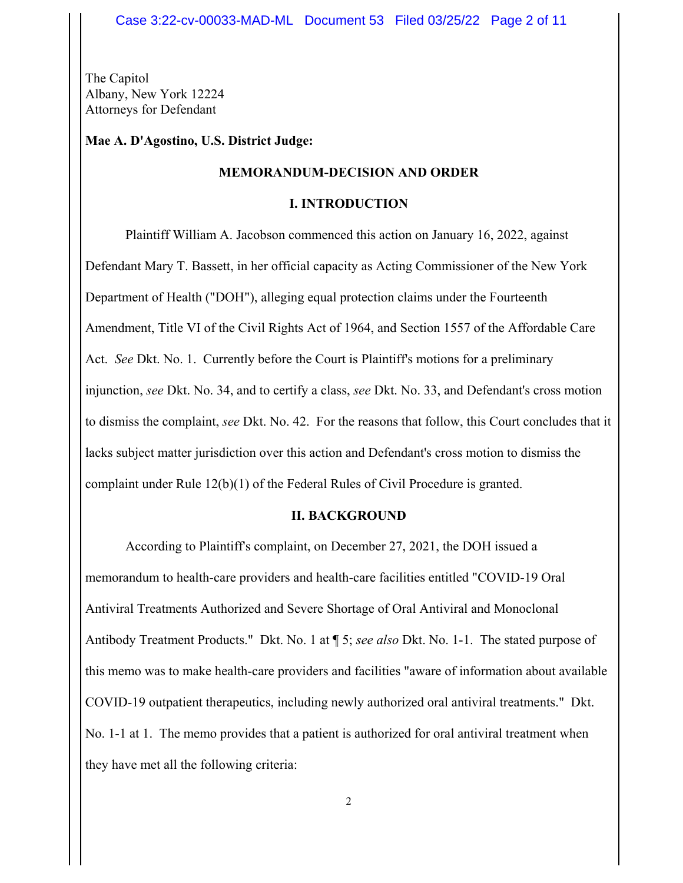The Capitol Albany, New York 12224 Attorneys for Defendant

**Mae A. D'Agostino, U.S. District Judge:**

### **MEMORANDUM-DECISION AND ORDER**

#### **I. INTRODUCTION**

Plaintiff William A. Jacobson commenced this action on January 16, 2022, against Defendant Mary T. Bassett, in her official capacity as Acting Commissioner of the New York Department of Health ("DOH"), alleging equal protection claims under the Fourteenth Amendment, Title VI of the Civil Rights Act of 1964, and Section 1557 of the Affordable Care Act. *See* Dkt. No. 1. Currently before the Court is Plaintiff's motions for a preliminary injunction, *see* Dkt. No. 34, and to certify a class, *see* Dkt. No. 33, and Defendant's cross motion to dismiss the complaint, *see* Dkt. No. 42. For the reasons that follow, this Court concludes that it lacks subject matter jurisdiction over this action and Defendant's cross motion to dismiss the complaint under Rule 12(b)(1) of the Federal Rules of Civil Procedure is granted.

# **II. BACKGROUND**

According to Plaintiff's complaint, on December 27, 2021, the DOH issued a memorandum to health-care providers and health-care facilities entitled "COVID-19 Oral Antiviral Treatments Authorized and Severe Shortage of Oral Antiviral and Monoclonal Antibody Treatment Products." Dkt. No. 1 at ¶ 5; *see also* Dkt. No. 1-1. The stated purpose of this memo was to make health-care providers and facilities "aware of information about available COVID-19 outpatient therapeutics, including newly authorized oral antiviral treatments." Dkt. No. 1-1 at 1. The memo provides that a patient is authorized for oral antiviral treatment when they have met all the following criteria: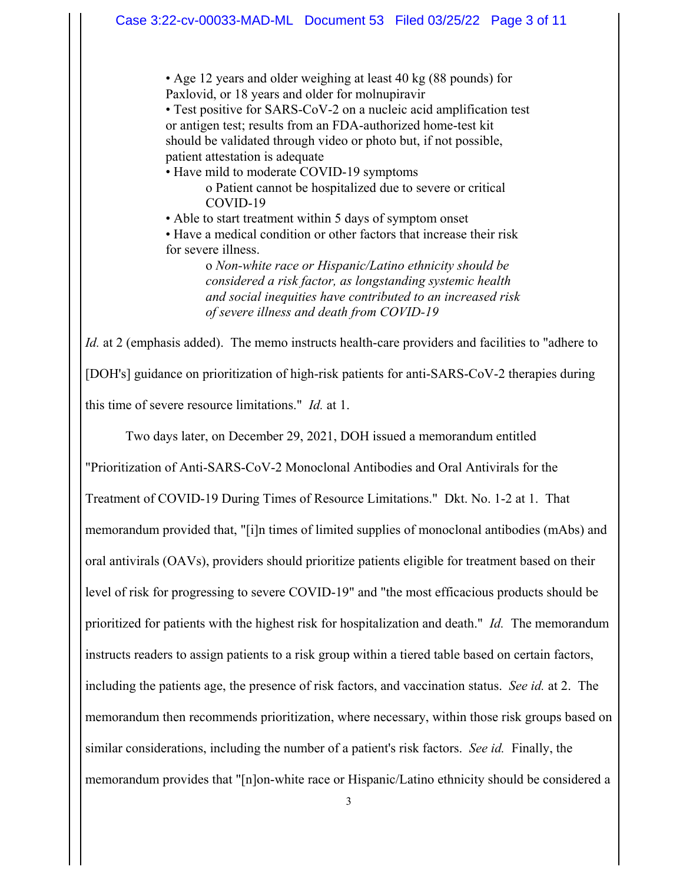• Age 12 years and older weighing at least 40 kg (88 pounds) for Paxlovid, or 18 years and older for molnupiravir

• Test positive for SARS-CoV-2 on a nucleic acid amplification test or antigen test; results from an FDA-authorized home-test kit should be validated through video or photo but, if not possible, patient attestation is adequate

• Have mild to moderate COVID-19 symptoms o Patient cannot be hospitalized due to severe or critical COVID-19

• Able to start treatment within 5 days of symptom onset

• Have a medical condition or other factors that increase their risk for severe illness.

> o *Non-white race or Hispanic/Latino ethnicity should be considered a risk factor, as longstanding systemic health and social inequities have contributed to an increased risk of severe illness and death from COVID-19*

*Id.* at 2 (emphasis added). The memo instructs health-care providers and facilities to "adhere to [DOH's] guidance on prioritization of high-risk patients for anti-SARS-CoV-2 therapies during this time of severe resource limitations." *Id.* at 1.

Two days later, on December 29, 2021, DOH issued a memorandum entitled

"Prioritization of Anti-SARS-CoV-2 Monoclonal Antibodies and Oral Antivirals for the Treatment of COVID-19 During Times of Resource Limitations." Dkt. No. 1-2 at 1. That memorandum provided that, "[i]n times of limited supplies of monoclonal antibodies (mAbs) and oral antivirals (OAVs), providers should prioritize patients eligible for treatment based on their level of risk for progressing to severe COVID-19" and "the most efficacious products should be prioritized for patients with the highest risk for hospitalization and death." *Id.* The memorandum instructs readers to assign patients to a risk group within a tiered table based on certain factors, including the patients age, the presence of risk factors, and vaccination status. *See id.* at 2. The memorandum then recommends prioritization, where necessary, within those risk groups based on similar considerations, including the number of a patient's risk factors. *See id.* Finally, the memorandum provides that "[n]on-white race or Hispanic/Latino ethnicity should be considered a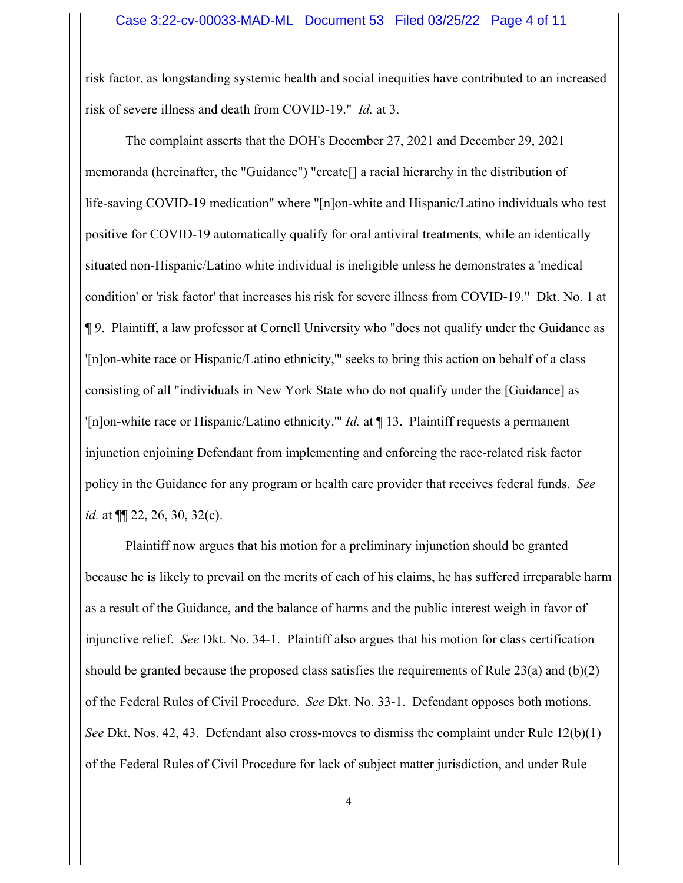risk factor, as longstanding systemic health and social inequities have contributed to an increased risk of severe illness and death from COVID-19." *Id.* at 3.

The complaint asserts that the DOH's December 27, 2021 and December 29, 2021 memoranda (hereinafter, the "Guidance") "create[] a racial hierarchy in the distribution of life-saving COVID-19 medication" where "[n]on-white and Hispanic/Latino individuals who test positive for COVID-19 automatically qualify for oral antiviral treatments, while an identically situated non-Hispanic/Latino white individual is ineligible unless he demonstrates a 'medical condition' or 'risk factor' that increases his risk for severe illness from COVID-19." Dkt. No. 1 at ¶ 9. Plaintiff, a law professor at Cornell University who "does not qualify under the Guidance as '[n]on-white race or Hispanic/Latino ethnicity,'" seeks to bring this action on behalf of a class consisting of all "individuals in New York State who do not qualify under the [Guidance] as '[n]on-white race or Hispanic/Latino ethnicity.'" *Id.* at ¶ 13. Plaintiff requests a permanent injunction enjoining Defendant from implementing and enforcing the race-related risk factor policy in the Guidance for any program or health care provider that receives federal funds. *See id.* at ¶¶ 22, 26, 30, 32(c).

Plaintiff now argues that his motion for a preliminary injunction should be granted because he is likely to prevail on the merits of each of his claims, he has suffered irreparable harm as a result of the Guidance, and the balance of harms and the public interest weigh in favor of injunctive relief. *See* Dkt. No. 34-1. Plaintiff also argues that his motion for class certification should be granted because the proposed class satisfies the requirements of Rule  $23(a)$  and  $(b)(2)$ of the Federal Rules of Civil Procedure. *See* Dkt. No. 33-1. Defendant opposes both motions. *See* Dkt. Nos. 42, 43. Defendant also cross-moves to dismiss the complaint under Rule 12(b)(1) of the Federal Rules of Civil Procedure for lack of subject matter jurisdiction, and under Rule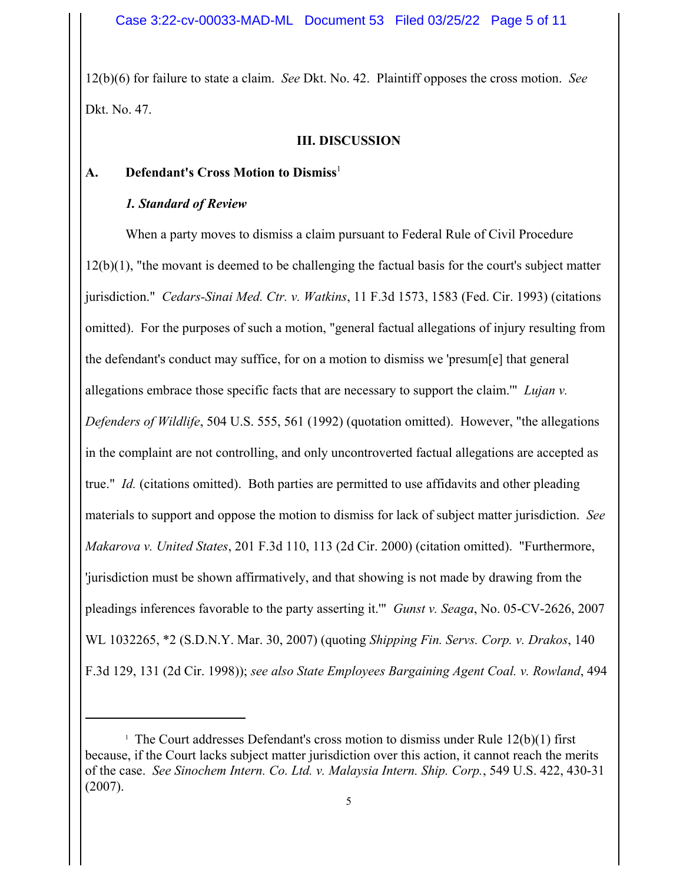12(b)(6) for failure to state a claim. *See* Dkt. No. 42. Plaintiff opposes the cross motion. *See* Dkt. No. 47.

### **III. DISCUSSION**

# **A.** Defendant's Cross Motion to Dismiss<sup>1</sup>

#### *1. Standard of Review*

When a party moves to dismiss a claim pursuant to Federal Rule of Civil Procedure 12(b)(1), "the movant is deemed to be challenging the factual basis for the court's subject matter jurisdiction." *Cedars-Sinai Med. Ctr. v. Watkins*, 11 F.3d 1573, 1583 (Fed. Cir. 1993) (citations omitted). For the purposes of such a motion, "general factual allegations of injury resulting from the defendant's conduct may suffice, for on a motion to dismiss we 'presum[e] that general allegations embrace those specific facts that are necessary to support the claim.'" *Lujan v. Defenders of Wildlife*, 504 U.S. 555, 561 (1992) (quotation omitted). However, "the allegations in the complaint are not controlling, and only uncontroverted factual allegations are accepted as true." *Id.* (citations omitted). Both parties are permitted to use affidavits and other pleading materials to support and oppose the motion to dismiss for lack of subject matter jurisdiction. *See Makarova v. United States*, 201 F.3d 110, 113 (2d Cir. 2000) (citation omitted). "Furthermore, 'jurisdiction must be shown affirmatively, and that showing is not made by drawing from the pleadings inferences favorable to the party asserting it.'" *Gunst v. Seaga*, No. 05-CV-2626, 2007 WL 1032265, \*2 (S.D.N.Y. Mar. 30, 2007) (quoting *Shipping Fin. Servs. Corp. v. Drakos*, 140 F.3d 129, 131 (2d Cir. 1998)); *see also State Employees Bargaining Agent Coal. v. Rowland*, 494

<sup>&</sup>lt;sup>1</sup> The Court addresses Defendant's cross motion to dismiss under Rule  $12(b)(1)$  first because, if the Court lacks subject matter jurisdiction over this action, it cannot reach the merits of the case. *See Sinochem Intern. Co. Ltd. v. Malaysia Intern. Ship. Corp.*, 549 U.S. 422, 430-31 (2007).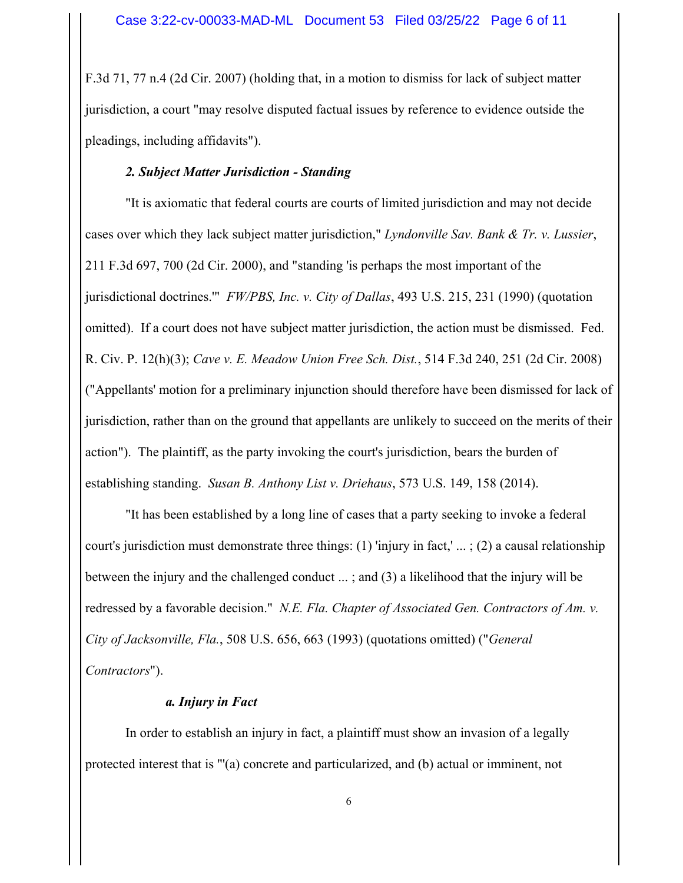F.3d 71, 77 n.4 (2d Cir. 2007) (holding that, in a motion to dismiss for lack of subject matter jurisdiction, a court "may resolve disputed factual issues by reference to evidence outside the pleadings, including affidavits").

# *2. Subject Matter Jurisdiction - Standing*

"It is axiomatic that federal courts are courts of limited jurisdiction and may not decide cases over which they lack subject matter jurisdiction," *Lyndonville Sav. Bank & Tr. v. Lussier*, 211 F.3d 697, 700 (2d Cir. 2000), and "standing 'is perhaps the most important of the jurisdictional doctrines.'" *FW/PBS, Inc. v. City of Dallas*, 493 U.S. 215, 231 (1990) (quotation omitted). If a court does not have subject matter jurisdiction, the action must be dismissed. Fed. R. Civ. P. 12(h)(3); *Cave v. E. Meadow Union Free Sch. Dist.*, 514 F.3d 240, 251 (2d Cir. 2008) ("Appellants' motion for a preliminary injunction should therefore have been dismissed for lack of jurisdiction, rather than on the ground that appellants are unlikely to succeed on the merits of their action"). The plaintiff, as the party invoking the court's jurisdiction, bears the burden of establishing standing. *Susan B. Anthony List v. Driehaus*, 573 U.S. 149, 158 (2014).

"It has been established by a long line of cases that a party seeking to invoke a federal court's jurisdiction must demonstrate three things: (1) 'injury in fact,' ... ; (2) a causal relationship between the injury and the challenged conduct ... ; and (3) a likelihood that the injury will be redressed by a favorable decision." *N.E. Fla. Chapter of Associated Gen. Contractors of Am. v. City of Jacksonville, Fla.*, 508 U.S. 656, 663 (1993) (quotations omitted) ("*General Contractors*").

# *a. Injury in Fact*

In order to establish an injury in fact, a plaintiff must show an invasion of a legally protected interest that is "'(a) concrete and particularized, and (b) actual or imminent, not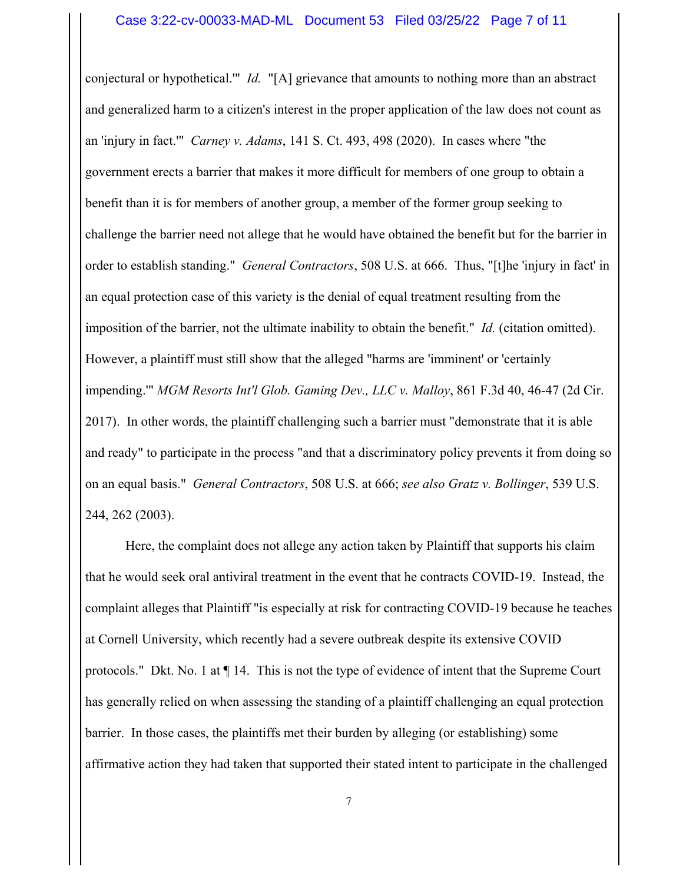conjectural or hypothetical.'" *Id.* "[A] grievance that amounts to nothing more than an abstract and generalized harm to a citizen's interest in the proper application of the law does not count as an 'injury in fact.'" *Carney v. Adams*, 141 S. Ct. 493, 498 (2020). In cases where "the government erects a barrier that makes it more difficult for members of one group to obtain a benefit than it is for members of another group, a member of the former group seeking to challenge the barrier need not allege that he would have obtained the benefit but for the barrier in order to establish standing." *General Contractors*, 508 U.S. at 666. Thus, "[t]he 'injury in fact' in an equal protection case of this variety is the denial of equal treatment resulting from the imposition of the barrier, not the ultimate inability to obtain the benefit." *Id.* (citation omitted). However, a plaintiff must still show that the alleged "harms are 'imminent' or 'certainly impending.'" *MGM Resorts Int'l Glob. Gaming Dev., LLC v. Malloy*, 861 F.3d 40, 46-47 (2d Cir. 2017). In other words, the plaintiff challenging such a barrier must "demonstrate that it is able and ready" to participate in the process "and that a discriminatory policy prevents it from doing so on an equal basis." *General Contractors*, 508 U.S. at 666; *see also Gratz v. Bollinger*, 539 U.S. 244, 262 (2003).

Here, the complaint does not allege any action taken by Plaintiff that supports his claim that he would seek oral antiviral treatment in the event that he contracts COVID-19. Instead, the complaint alleges that Plaintiff "is especially at risk for contracting COVID-19 because he teaches at Cornell University, which recently had a severe outbreak despite its extensive COVID protocols." Dkt. No. 1 at ¶ 14. This is not the type of evidence of intent that the Supreme Court has generally relied on when assessing the standing of a plaintiff challenging an equal protection barrier. In those cases, the plaintiffs met their burden by alleging (or establishing) some affirmative action they had taken that supported their stated intent to participate in the challenged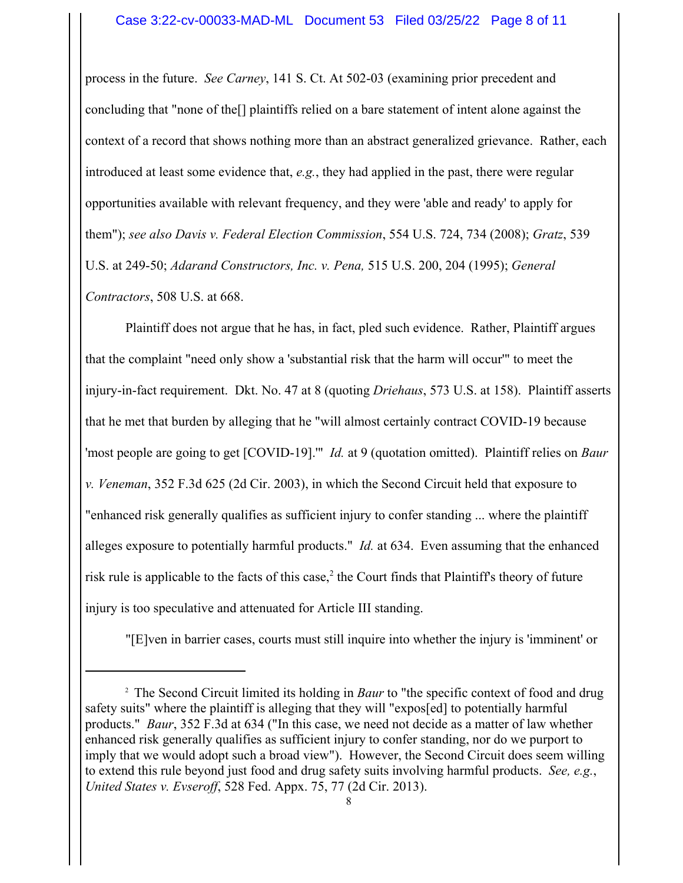process in the future. *See Carney*, 141 S. Ct. At 502-03 (examining prior precedent and concluding that "none of the[] plaintiffs relied on a bare statement of intent alone against the context of a record that shows nothing more than an abstract generalized grievance. Rather, each introduced at least some evidence that, *e.g.*, they had applied in the past, there were regular opportunities available with relevant frequency, and they were 'able and ready' to apply for them"); *see also Davis v. Federal Election Commission*, 554 U.S. 724, 734 (2008); *Gratz*, 539 U.S. at 249-50; *Adarand Constructors, Inc. v. Pena,* 515 U.S. 200, 204 (1995); *General Contractors*, 508 U.S. at 668.

Plaintiff does not argue that he has, in fact, pled such evidence. Rather, Plaintiff argues that the complaint "need only show a 'substantial risk that the harm will occur'" to meet the injury-in-fact requirement. Dkt. No. 47 at 8 (quoting *Driehaus*, 573 U.S. at 158). Plaintiff asserts that he met that burden by alleging that he "will almost certainly contract COVID-19 because 'most people are going to get [COVID-19].'" *Id.* at 9 (quotation omitted). Plaintiff relies on *Baur v. Veneman*, 352 F.3d 625 (2d Cir. 2003), in which the Second Circuit held that exposure to "enhanced risk generally qualifies as sufficient injury to confer standing ... where the plaintiff alleges exposure to potentially harmful products." *Id.* at 634. Even assuming that the enhanced risk rule is applicable to the facts of this case, $2$  the Court finds that Plaintiff's theory of future injury is too speculative and attenuated for Article III standing.

"[E]ven in barrier cases, courts must still inquire into whether the injury is 'imminent' or

<sup>&</sup>lt;sup>2</sup> The Second Circuit limited its holding in *Baur* to "the specific context of food and drug safety suits" where the plaintiff is alleging that they will "expos[ed] to potentially harmful products." *Baur*, 352 F.3d at 634 ("In this case, we need not decide as a matter of law whether enhanced risk generally qualifies as sufficient injury to confer standing, nor do we purport to imply that we would adopt such a broad view"). However, the Second Circuit does seem willing to extend this rule beyond just food and drug safety suits involving harmful products. *See, e.g.*, *United States v. Evseroff*, 528 Fed. Appx. 75, 77 (2d Cir. 2013).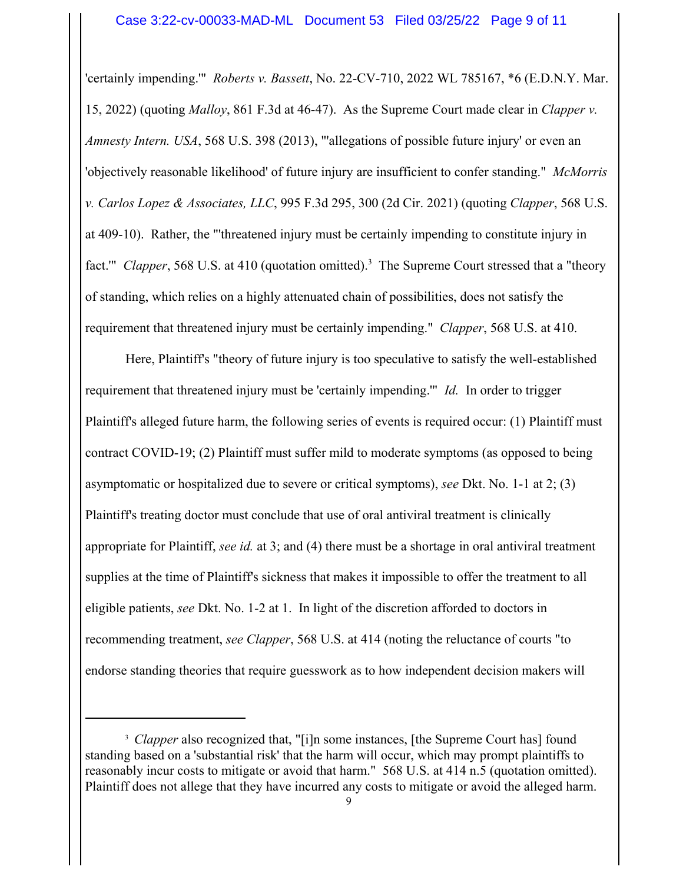'certainly impending.'" *Roberts v. Bassett*, No. 22-CV-710, 2022 WL 785167, \*6 (E.D.N.Y. Mar. 15, 2022) (quoting *Malloy*, 861 F.3d at 46-47). As the Supreme Court made clear in *Clapper v. Amnesty Intern. USA*, 568 U.S. 398 (2013), "'allegations of possible future injury' or even an 'objectively reasonable likelihood' of future injury are insufficient to confer standing." *McMorris v. Carlos Lopez & Associates, LLC*, 995 F.3d 295, 300 (2d Cir. 2021) (quoting *Clapper*, 568 U.S. at 409-10). Rather, the "'threatened injury must be certainly impending to constitute injury in fact." *Clapper*, 568 U.S. at 410 (quotation omitted).<sup>3</sup> The Supreme Court stressed that a "theory of standing, which relies on a highly attenuated chain of possibilities, does not satisfy the requirement that threatened injury must be certainly impending." *Clapper*, 568 U.S. at 410.

Here, Plaintiff's "theory of future injury is too speculative to satisfy the well-established requirement that threatened injury must be 'certainly impending.'" *Id.* In order to trigger Plaintiff's alleged future harm, the following series of events is required occur: (1) Plaintiff must contract COVID-19; (2) Plaintiff must suffer mild to moderate symptoms (as opposed to being asymptomatic or hospitalized due to severe or critical symptoms), *see* Dkt. No. 1-1 at 2; (3) Plaintiff's treating doctor must conclude that use of oral antiviral treatment is clinically appropriate for Plaintiff, *see id.* at 3; and (4) there must be a shortage in oral antiviral treatment supplies at the time of Plaintiff's sickness that makes it impossible to offer the treatment to all eligible patients, *see* Dkt. No. 1-2 at 1. In light of the discretion afforded to doctors in recommending treatment, *see Clapper*, 568 U.S. at 414 (noting the reluctance of courts "to endorse standing theories that require guesswork as to how independent decision makers will

<sup>&</sup>lt;sup>3</sup> Clapper also recognized that, "[i]n some instances, [the Supreme Court has] found standing based on a 'substantial risk' that the harm will occur, which may prompt plaintiffs to reasonably incur costs to mitigate or avoid that harm." 568 U.S. at 414 n.5 (quotation omitted). Plaintiff does not allege that they have incurred any costs to mitigate or avoid the alleged harm.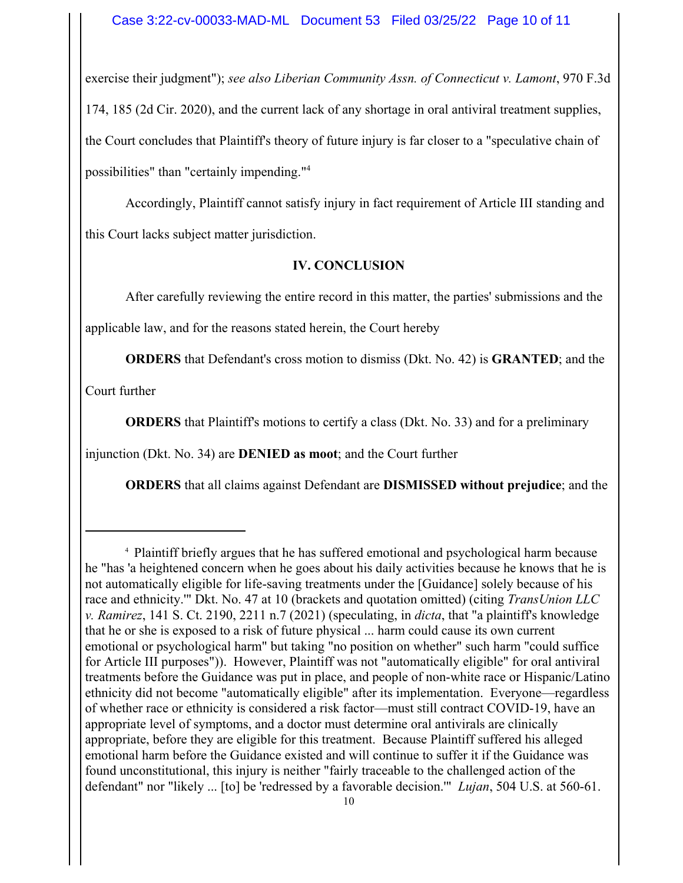exercise their judgment"); *see also Liberian Community Assn. of Connecticut v. Lamont*, 970 F.3d 174, 185 (2d Cir. 2020), and the current lack of any shortage in oral antiviral treatment supplies, the Court concludes that Plaintiff's theory of future injury is far closer to a "speculative chain of possibilities" than "certainly impending."4

Accordingly, Plaintiff cannot satisfy injury in fact requirement of Article III standing and this Court lacks subject matter jurisdiction.

# **IV. CONCLUSION**

After carefully reviewing the entire record in this matter, the parties' submissions and the

applicable law, and for the reasons stated herein, the Court hereby

**ORDERS** that Defendant's cross motion to dismiss (Dkt. No. 42) is **GRANTED**; and the

Court further

**ORDERS** that Plaintiff's motions to certify a class (Dkt. No. 33) and for a preliminary

injunction (Dkt. No. 34) are **DENIED as moot**; and the Court further

**ORDERS** that all claims against Defendant are **DISMISSED without prejudice**; and the

<sup>4</sup> Plaintiff briefly argues that he has suffered emotional and psychological harm because he "has 'a heightened concern when he goes about his daily activities because he knows that he is not automatically eligible for life-saving treatments under the [Guidance] solely because of his race and ethnicity.'" Dkt. No. 47 at 10 (brackets and quotation omitted) (citing *TransUnion LLC v. Ramirez*, 141 S. Ct. 2190, 2211 n.7 (2021) (speculating, in *dicta*, that "a plaintiff's knowledge that he or she is exposed to a risk of future physical ... harm could cause its own current emotional or psychological harm" but taking "no position on whether" such harm "could suffice for Article III purposes")). However, Plaintiff was not "automatically eligible" for oral antiviral treatments before the Guidance was put in place, and people of non-white race or Hispanic/Latino ethnicity did not become "automatically eligible" after its implementation. Everyone—regardless of whether race or ethnicity is considered a risk factor—must still contract COVID-19, have an appropriate level of symptoms, and a doctor must determine oral antivirals are clinically appropriate, before they are eligible for this treatment. Because Plaintiff suffered his alleged emotional harm before the Guidance existed and will continue to suffer it if the Guidance was found unconstitutional, this injury is neither "fairly traceable to the challenged action of the defendant" nor "likely ... [to] be 'redressed by a favorable decision.'" *Lujan*, 504 U.S. at 560-61.